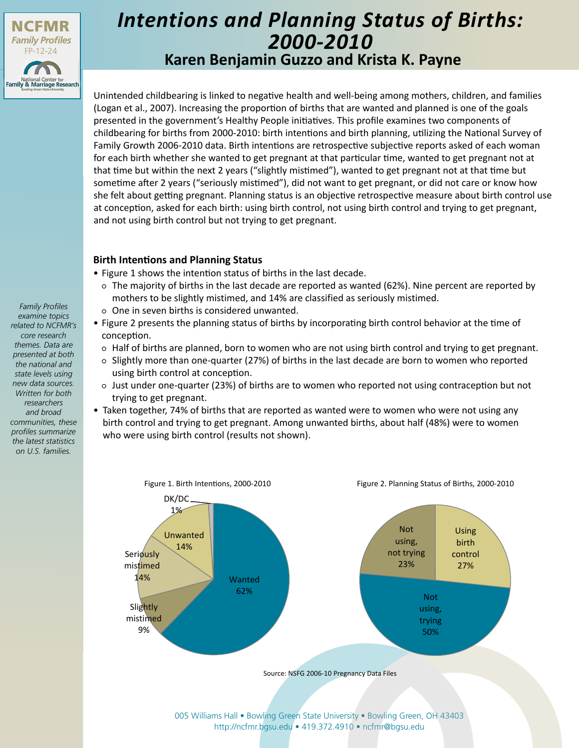

# **Karen Benjamin Guzzo and Krista K. Payne** *Intentions and Planning Status of Births: 2000-2010*

Unintended childbearing is linked to negative health and well-being among mothers, children, and families (Logan et al., 2007). Increasing the proportion of births that are wanted and planned is one of the goals presented in the government's Healthy People initiatives. This profile examines two components of childbearing for births from 2000-2010: birth intentions and birth planning, utilizing the National Survey of Family Growth 2006-2010 data. Birth intentions are retrospective subjective reports asked of each woman for each birth whether she wanted to get pregnant at that particular time, wanted to get pregnant not at that time but within the next 2 years ("slightly mistimed"), wanted to get pregnant not at that time but sometime after 2 years ("seriously mistimed"), did not want to get pregnant, or did not care or know how she felt about getting pregnant. Planning status is an objective retrospective measure about birth control use at conception, asked for each birth: using birth control, not using birth control and trying to get pregnant, and not using birth control but not trying to get pregnant.

## **Birth Intentions and Planning Status**

- Figure 1 shows the intention status of births in the last decade.
	- The majority of births in the last decade are reported as wanted (62%). Nine percent are reported by mothers to be slightly mistimed, and 14% are classified as seriously mistimed.
- One in seven births is considered unwanted.
- Figure 2 presents the planning status of births by incorporating birth control behavior at the time of conception.
	- Half of births are planned, born to women who are not using birth control and trying to get pregnant.
	- Slightly more than one-quarter (27%) of births in the last decade are born to women who reported using birth control at conception.
	- Just under one-quarter (23%) of births are to women who reported not using contraception but not trying to get pregnant.
- Taken together, 74% of births that are reported as wanted were to women who were not using any birth control and trying to get pregnant. Among unwanted births, about half (48%) were to women who were using birth control (results not shown).



*Family Profiles examine topics related to NCFMR's core research themes. Data are presented at both the national and state levels using new data sources. Written for both researchers and broad communities, these profiles summarize the latest statistics on U.S. families.*